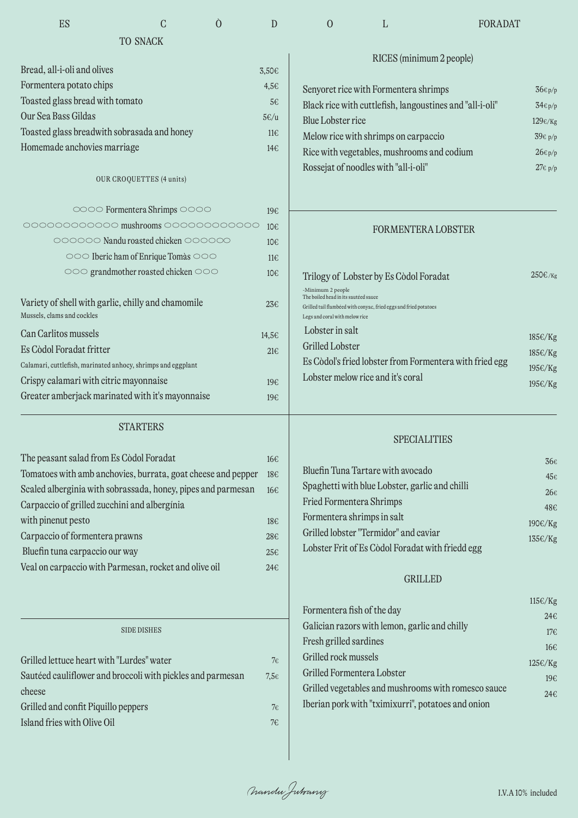| ES                                                           | C                                   | Ó | D                | $\Omega$                                                  | L                                                                | <b>FORADAT</b>                                          |                     |
|--------------------------------------------------------------|-------------------------------------|---|------------------|-----------------------------------------------------------|------------------------------------------------------------------|---------------------------------------------------------|---------------------|
|                                                              | <b>TO SNACK</b>                     |   |                  |                                                           |                                                                  |                                                         |                     |
|                                                              |                                     |   |                  |                                                           | RICES (minimum 2 people)                                         |                                                         |                     |
| Bread, all-i-oli and olives                                  |                                     |   | 3,50€            |                                                           |                                                                  |                                                         |                     |
| Formentera potato chips                                      |                                     |   | 4,56             | Senyoret rice with Formentera shrimps                     |                                                                  |                                                         | $36\varepsilon$ p/p |
| Toasted glass bread with tomato                              |                                     |   | 5€               | Black rice with cuttlefish, langoustines and "all-i-oli"  |                                                                  |                                                         | $34 \epsilon p/p$   |
| Our Sea Bass Gildas                                          |                                     |   | $5 \in /u$       | <b>Blue Lobster rice</b>                                  |                                                                  |                                                         | $129 \epsilon$ /Kg  |
| Toasted glass breadwith sobrasada and honey                  |                                     |   | $11 \in$         | Melow rice with shrimps on carpaccio                      |                                                                  |                                                         | 39€ р/р             |
| Homemade anchovies marriage                                  |                                     |   | 14€              |                                                           | Rice with vegetables, mushrooms and codium                       |                                                         | $26\varepsilon$ p/p |
|                                                              |                                     |   |                  |                                                           | Rossejat of noodles with "all-i-oli"                             |                                                         | $27\varepsilon$ p/p |
|                                                              | OUR CROQUETTES (4 units)            |   |                  |                                                           |                                                                  |                                                         |                     |
|                                                              | 0000 Formentera Shrimps 0000        |   | 19€              |                                                           |                                                                  |                                                         |                     |
| 000000000000 mushrooms 000000000000                          |                                     |   | 10€              |                                                           | <b>FORMENTERA LOBSTER</b>                                        |                                                         |                     |
|                                                              | 000000 Nandu roasted chicken 000000 |   | 10 <sub>f</sub>  |                                                           |                                                                  |                                                         |                     |
|                                                              | ooo Iberic ham of Enrique Tomàs ooo |   | $11 \in$         |                                                           |                                                                  |                                                         |                     |
|                                                              | ooo grandmother roasted chicken ooo |   | 10€              |                                                           | Trilogy of Lobster by Es Còdol Foradat                           |                                                         | 250€/кg             |
|                                                              |                                     |   |                  | -Minimum 2 people<br>The boiled head in its sautéed sauce |                                                                  |                                                         |                     |
| Variety of shell with garlic, chilly and chamomile           |                                     |   | $23 \epsilon$    |                                                           | Grilled tail flambéed with conyac, fried eggs and fried potatoes |                                                         |                     |
| Mussels, clams and cockles                                   |                                     |   |                  | Legs and coral with melow rice                            |                                                                  |                                                         |                     |
| Can Carlitos mussels                                         |                                     |   | 14,5€            | Lobster in salt                                           |                                                                  |                                                         | 185€/Kg             |
| Es Còdol Foradat fritter                                     |                                     |   | 216              | Grilled Lobster                                           |                                                                  |                                                         | 185€/Kg             |
| Calamari, cuttlefish, marinated anhocy, shrimps and eggplant |                                     |   |                  |                                                           |                                                                  | Es Còdol's fried lobster from Formentera with fried egg | 195€/Kg             |
| Crispy calamari with citric mayonnaise                       |                                     |   | 19€              |                                                           | Lobster melow rice and it's coral                                |                                                         | 195€/Kg             |
| Greater amberjack marinated with it's mayonnaise             |                                     |   | 19€              |                                                           |                                                                  |                                                         |                     |
|                                                              | <b>STARTERS</b>                     |   |                  |                                                           |                                                                  |                                                         |                     |
|                                                              |                                     |   |                  |                                                           | <b>SPECIALITIES</b>                                              |                                                         |                     |
| The peasant salad from Es Còdol Foradat                      |                                     |   | 16€              |                                                           |                                                                  |                                                         | 36€                 |
| Tomatoes with amb anchovies, burrata, goat cheese and pepper |                                     |   | 18€              |                                                           | Bluefin Tuna Tartare with avocado                                |                                                         | $45\epsilon$        |
| Scaled alberginia with sobrassada, honey, pipes and parmesan |                                     |   | 16€              |                                                           | Spaghetti with blue Lobster, garlic and chilli                   |                                                         | $26\epsilon$        |
| Carpaccio of grilled zucchini and alberginia                 |                                     |   |                  | Fried Formentera Shrimps                                  |                                                                  |                                                         | 48€                 |
| with pinenut pesto                                           |                                     |   | 18€              | Formentera shrimps in salt                                |                                                                  |                                                         | 190€/Kg             |
| Carpaccio of formentera prawns                               |                                     |   | 28€              |                                                           | Grilled lobster "Termidor" and caviar                            |                                                         | 135€/Kg             |
| Bluefin tuna carpaccio our way                               |                                     |   | 25€              |                                                           | Lobster Frit of Es Còdol Foradat with friedd egg                 |                                                         |                     |
| Veal on carpaccio with Parmesan, rocket and olive oil        |                                     |   | 24E              |                                                           | <b>GRILLED</b>                                                   |                                                         |                     |
|                                                              |                                     |   |                  |                                                           |                                                                  |                                                         | 115€/Kg             |
|                                                              |                                     |   |                  | Formentera fish of the day                                |                                                                  |                                                         | 24€                 |
|                                                              | <b>SIDE DISHES</b>                  |   |                  |                                                           | Galician razors with lemon, garlic and chilly                    |                                                         | 176                 |
|                                                              |                                     |   |                  | Fresh grilled sardines                                    |                                                                  |                                                         | 16€                 |
| Grilled lettuce heart with "Lurdes" water                    |                                     |   | $7\epsilon$      | Grilled rock mussels                                      |                                                                  |                                                         | 125€/Kg             |
| Sautéed cauliflower and broccoli with pickles and parmesan   |                                     |   | $7,5\varepsilon$ | Grilled Formentera Lobster                                |                                                                  |                                                         | 19€                 |
| cheese                                                       |                                     |   |                  |                                                           | Iberian pork with "tximixurri", potatoes and onion               | Grilled vegetables and mushrooms with romesco sauce     | 24€                 |
| Grilled and confit Piquillo peppers                          |                                     |   | $7\epsilon$      |                                                           |                                                                  |                                                         |                     |
| Island fries with Olive Oil                                  |                                     |   | 7€               |                                                           |                                                                  |                                                         |                     |
|                                                              |                                     |   |                  |                                                           |                                                                  |                                                         |                     |
|                                                              |                                     |   |                  |                                                           |                                                                  |                                                         |                     |